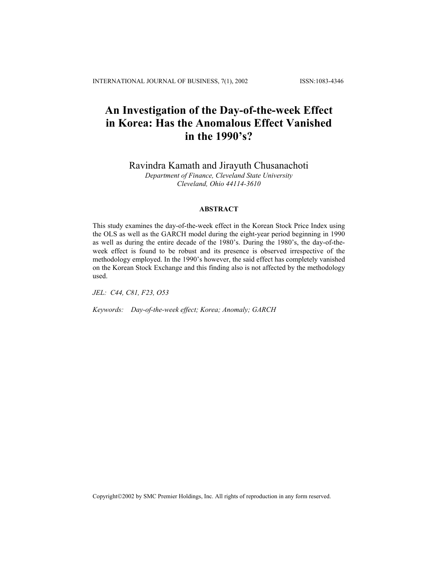# **An Investigation of the Day-of-the-week Effect in Korea: Has the Anomalous Effect Vanished in the 1990's?**

Ravindra Kamath and Jirayuth Chusanachoti

*Department of Finance, Cleveland State University Cleveland, Ohio 44114-3610*

## **ABSTRACT**

This study examines the day-of-the-week effect in the Korean Stock Price Index using the OLS as well as the GARCH model during the eight-year period beginning in 1990 as well as during the entire decade of the 1980's. During the 1980's, the day-of-theweek effect is found to be robust and its presence is observed irrespective of the methodology employed. In the 1990's however, the said effect has completely vanished on the Korean Stock Exchange and this finding also is not affected by the methodology used.

*JEL: C44, C81, F23, O53* 

*Keywords: Day-of-the-week effect; Korea; Anomaly; GARCH*

Copyright©2002 by SMC Premier Holdings, Inc. All rights of reproduction in any form reserved.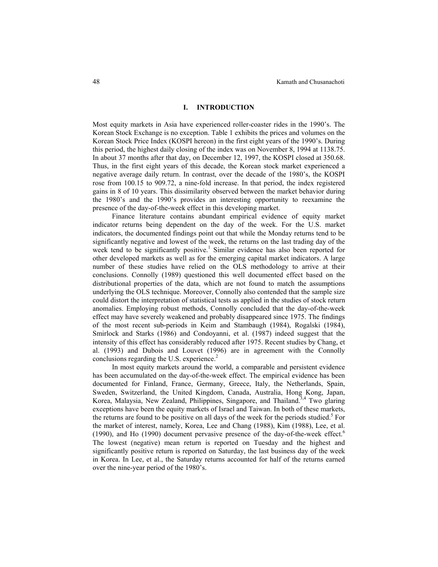#### **I. INTRODUCTION**

Most equity markets in Asia have experienced roller-coaster rides in the 1990's. The Korean Stock Exchange is no exception. Table 1 exhibits the prices and volumes on the Korean Stock Price Index (KOSPI hereon) in the first eight years of the 1990's. During this period, the highest daily closing of the index was on November 8, 1994 at 1138.75. In about 37 months after that day, on December 12, 1997, the KOSPI closed at 350.68. Thus, in the first eight years of this decade, the Korean stock market experienced a negative average daily return. In contrast, over the decade of the 1980's, the KOSPI rose from 100.15 to 909.72, a nine-fold increase. In that period, the index registered gains in 8 of 10 years. This dissimilarity observed between the market behavior during the 1980's and the 1990's provides an interesting opportunity to reexamine the presence of the day-of-the-week effect in this developing market.

 Finance literature contains abundant empirical evidence of equity market indicator returns being dependent on the day of the week. For the U.S. market indicators, the documented findings point out that while the Monday returns tend to be significantly negative and lowest of the week, the returns on the last trading day of the week tend to be significantly positive.<sup>1</sup> Similar evidence has also been reported for other developed markets as well as for the emerging capital market indicators. A large number of these studies have relied on the OLS methodology to arrive at their conclusions. Connolly (1989) questioned this well documented effect based on the distributional properties of the data, which are not found to match the assumptions underlying the OLS technique. Moreover, Connolly also contended that the sample size could distort the interpretation of statistical tests as applied in the studies of stock return anomalies. Employing robust methods, Connolly concluded that the day-of-the-week effect may have severely weakened and probably disappeared since 1975. The findings of the most recent sub-periods in Keim and Stambaugh (1984), Rogalski (1984), Smirlock and Starks (1986) and Condoyanni, et al. (1987) indeed suggest that the intensity of this effect has considerably reduced after 1975. Recent studies by Chang, et al. (1993) and Dubois and Louvet (1996) are in agreement with the Connolly conclusions regarding the U.S. experience. $2$ 

 In most equity markets around the world, a comparable and persistent evidence has been accumulated on the day-of-the-week effect. The empirical evidence has been documented for Finland, France, Germany, Greece, Italy, the Netherlands, Spain, Sweden, Switzerland, the United Kingdom, Canada, Australia, Hong Kong, Japan, Korea, Malaysia, New Zealand, Philippines, Singapore, and Thailand.<sup>3,4</sup> Two glaring exceptions have been the equity markets of Israel and Taiwan. In both of these markets, the returns are found to be positive on all days of the week for the periods studied.<sup>5</sup> For the market of interest, namely, Korea, Lee and Chang (1988), Kim (1988), Lee, et al. (1990), and Ho (1990) document pervasive presence of the day-of-the-week effect. $6$ The lowest (negative) mean return is reported on Tuesday and the highest and significantly positive return is reported on Saturday, the last business day of the week in Korea. In Lee, et al., the Saturday returns accounted for half of the returns earned over the nine-year period of the 1980's.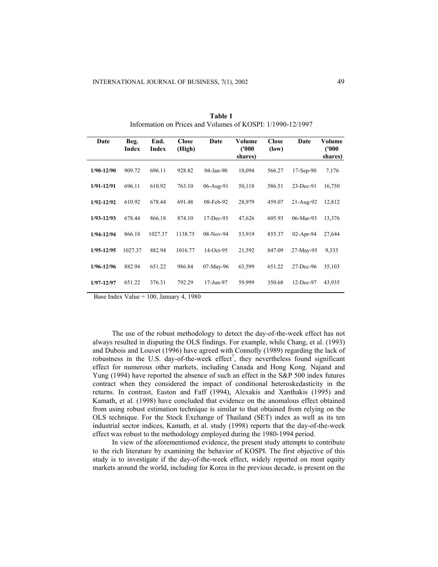| Date           | Beg.<br><b>Index</b> | End.<br>Index | <b>Close</b><br>(High) | Date         | Volume<br>(1000)<br>shares) | <b>Close</b><br>(low) | Date        | Volume<br>(1000)<br>shares) |
|----------------|----------------------|---------------|------------------------|--------------|-----------------------------|-----------------------|-------------|-----------------------------|
| $1/90 - 12/90$ | 909.72               | 696.11        | 928.82                 | $04$ -Jan-90 | 18,094                      | 566.27                | $17-Sep-90$ | 7,176                       |
| $1/91 - 12/91$ | 696.11               | 610.92        | 763.10                 | 06-Aug-91    | 50,118                      | 586.51                | 23-Dec-91   | 16,750                      |
| $1/92 - 12/92$ | 610.92               | 678.44        | 691.48                 | 08-Feb-92    | 28,979                      | 459.07                | 21-Aug-92   | 12,812                      |
| $1/93 - 12/93$ | 678.44               | 866.18        | 874.10                 | 17-Dec-93    | 47,626                      | 605.93                | 06-Mar-93   | 13,376                      |
| $1/94 - 12/94$ | 866.18               | 1027.37       | 1138.75                | $08-Nov-94$  | 53,919                      | 855.37                | 02-Apr-94   | 27,644                      |
| $1/95 - 12/95$ | 1027.37              | 882.94        | 1016.77                | 14-Oct-95    | 21,592                      | 847.09                | 27-May-95   | 9,333                       |
| $1/96 - 12/96$ | 882.94               | 651.22        | 986.84                 | 07-May-96    | 63,599                      | 651.22                | 27-Dec-96   | 35,103                      |
| $1/97 - 12/97$ | 651.22               | 376.31        | 792.29                 | 17-Jun-97    | 59,999                      | 350.68                | 12-Dec-97   | 43,935                      |

**Table 1** Information on Prices and Volumes of KOSPI: 1/1990-12/1997

Base Index Value = 100, January 4, 1980

The use of the robust methodology to detect the day-of-the-week effect has not always resulted in disputing the OLS findings. For example, while Chang, et al. (1993) and Dubois and Louvet (1996) have agreed with Connolly (1989) regarding the lack of robustness in the U.S. day-of-the-week effect<sup>7</sup>, they nevertheless found significant effect for numerous other markets, including Canada and Hong Kong. Najand and Yung (1994) have reported the absence of such an effect in the S&P 500 index futures contract when they considered the impact of conditional heteroskedasticity in the returns. In contrast, Easton and Faff (1994), Alexakis and Xanthakis (1995) and Kamath, et al. (1998) have concluded that evidence on the anomalous effect obtained from using robust estimation technique is similar to that obtained from relying on the OLS technique. For the Stock Exchange of Thailand (SET) index as well as its ten industrial sector indices, Kamath, et al. study (1998) reports that the day-of-the-week effect was robust to the methodology employed during the 1980-1994 period.

In view of the aforementioned evidence, the present study attempts to contribute to the rich literature by examining the behavior of KOSPI. The first objective of this study is to investigate if the day-of-the-week effect, widely reported on most equity markets around the world, including for Korea in the previous decade, is present on the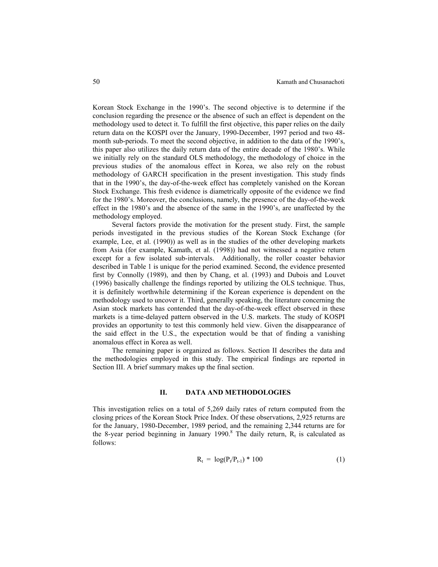Korean Stock Exchange in the 1990's. The second objective is to determine if the conclusion regarding the presence or the absence of such an effect is dependent on the methodology used to detect it. To fulfill the first objective, this paper relies on the daily return data on the KOSPI over the January, 1990-December, 1997 period and two 48 month sub-periods. To meet the second objective, in addition to the data of the 1990's, this paper also utilizes the daily return data of the entire decade of the 1980's. While we initially rely on the standard OLS methodology, the methodology of choice in the previous studies of the anomalous effect in Korea, we also rely on the robust methodology of GARCH specification in the present investigation. This study finds that in the 1990's, the day-of-the-week effect has completely vanished on the Korean Stock Exchange. This fresh evidence is diametrically opposite of the evidence we find for the 1980's. Moreover, the conclusions, namely, the presence of the day-of-the-week effect in the 1980's and the absence of the same in the 1990's, are unaffected by the methodology employed.

 Several factors provide the motivation for the present study. First, the sample periods investigated in the previous studies of the Korean Stock Exchange (for example, Lee, et al. (1990)) as well as in the studies of the other developing markets from Asia (for example, Kamath, et al. (1998)) had not witnessed a negative return except for a few isolated sub-intervals. Additionally, the roller coaster behavior described in Table 1 is unique for the period examined. Second, the evidence presented first by Connolly (1989), and then by Chang, et al. (1993) and Dubois and Louvet (1996) basically challenge the findings reported by utilizing the OLS technique. Thus, it is definitely worthwhile determining if the Korean experience is dependent on the methodology used to uncover it. Third, generally speaking, the literature concerning the Asian stock markets has contended that the day-of-the-week effect observed in these markets is a time-delayed pattern observed in the U.S. markets. The study of KOSPI provides an opportunity to test this commonly held view. Given the disappearance of the said effect in the U.S., the expectation would be that of finding a vanishing anomalous effect in Korea as well.

 The remaining paper is organized as follows. Section II describes the data and the methodologies employed in this study. The empirical findings are reported in Section III. A brief summary makes up the final section.

#### **II. DATA AND METHODOLOGIES**

This investigation relies on a total of 5,269 daily rates of return computed from the closing prices of the Korean Stock Price Index. Of these observations, 2,925 returns are for the January, 1980-December, 1989 period, and the remaining 2,344 returns are for the 8-year period beginning in January 1990.<sup>8</sup> The daily return,  $R_t$  is calculated as follows:

$$
R_t = log(P_t/P_{t-1}) * 100
$$
 (1)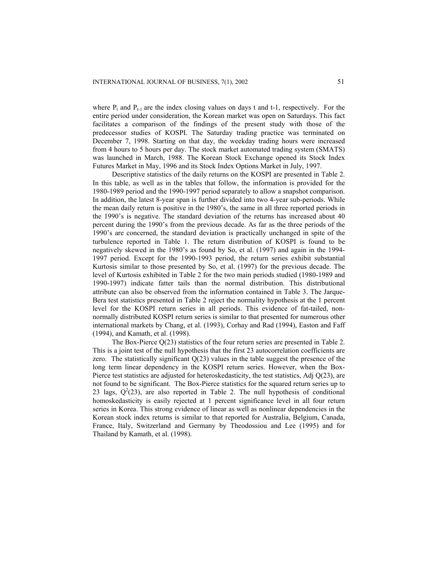where  $P_t$  and  $P_{t-1}$  are the index closing values on days t and t-1, respectively. For the entire period under consideration, the Korean market was open on Saturdays. This fact facilitates a comparison of the findings of the present study with those of the predecessor studies of KOSPI. The Saturday trading practice was terminated on December 7, 1998. Starting on that day, the weekday trading hours were increased from 4 hours to 5 hours per day. The stock market automated trading system (SMATS) was launched in March, 1988. The Korean Stock Exchange opened its Stock Index Futures Market in May, 1996 and its Stock Index Options Market in July, 1997.

Descriptive statistics of the daily returns on the KOSPI are presented in Table 2. In this table, as well as in the tables that follow, the information is provided for the 1980-1989 period and the 1990-1997 period separately to allow a snapshot comparison. In addition, the latest 8-year span is further divided into two 4-year sub-periods. While the mean daily return is positive in the 1980's, the same in all three reported periods in the 1990's is negative. The standard deviation of the returns has increased about 40 percent during the 1990's from the previous decade. As far as the three periods of the 1990's are concerned, the standard deviation is practically unchanged in spite of the turbulence reported in Table 1. The return distribution of KOSPI is found to be negatively skewed in the 1980's as found by So, et al. (1997) and again in the 1994- 1997 period. Except for the 1990-1993 period, the return series exhibit substantial Kurtosis similar to those presented by So, et al. (1997) for the previous decade. The level of Kurtosis exhibited in Table 2 for the two main periods studied (1980-1989 and 1990-1997) indicate fatter tails than the normal distribution. This distributional attribute can also be observed from the information contained in Table 3. The Jarque-Bera test statistics presented in Table 2 reject the normality hypothesis at the 1 percent level for the KOSPI return series in all periods. This evidence of fat-tailed, nonnormally distributed KOSPI return series is similar to that presented for numerous other international markets by Chang, et al. (1993), Corhay and Rad (1994), Easton and Faff (1994), and Kamath, et al. (1998).

The Box-Pierce Q(23) statistics of the four return series are presented in Table 2. This is a joint test of the null hypothesis that the first 23 autocorrelation coefficients are zero. The statistically significant  $Q(23)$  values in the table suggest the presence of the long term linear dependency in the KOSPI return series. However, when the Box-Pierce test statistics are adjusted for heteroskedasticity, the test statistics, Adj  $Q(23)$ , are not found to be significant. The Box-Pierce statistics for the squared return series up to 23 lags,  $Q^2(23)$ , are also reported in Table 2. The null hypothesis of conditional homoskedasticity is easily rejected at 1 percent significance level in all four return series in Korea. This strong evidence of linear as well as nonlinear dependencies in the Korean stock index returns is similar to that reported for Australia, Belgium, Canada, France, Italy, Switzerland and Germany by Theodossiou and Lee (1995) and for Thailand by Kamath, et al. (1998).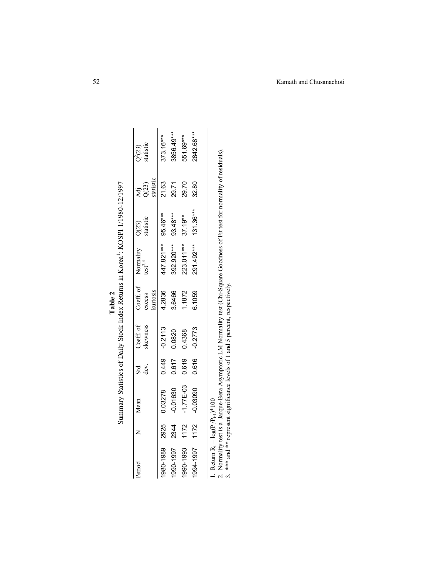|                                                                 |      |               |                  |                       |                                     | Interest to the figure of the contemplation of the contemplation of the contemplation of the contemplation of the contemplation of the contemplation of the contemplation of the contemplation of the contemplation of the con |                      |                            |                        |
|-----------------------------------------------------------------|------|---------------|------------------|-----------------------|-------------------------------------|--------------------------------------------------------------------------------------------------------------------------------------------------------------------------------------------------------------------------------|----------------------|----------------------------|------------------------|
| Period                                                          |      | Mean          |                  |                       |                                     |                                                                                                                                                                                                                                |                      |                            | $Q^2(23)$<br>statistic |
|                                                                 |      |               | ಯ<br>ಹಿತ್ರ<br>ಕಿ | Coeff. of<br>skewness | Coeff. of 1<br>excess t<br>kurtosis | Normality<br>$test^{2,3}$                                                                                                                                                                                                      | $Q(23)$<br>statistic | Adj.<br>Q(23)<br>statistic |                        |
| 1980-1989                                                       | 2925 | 0.03278       |                  | $0.449 - 0.2113$      | 4.2836                              | 447.821***                                                                                                                                                                                                                     | 95.46***             | 21.63                      | 373.16***              |
| 1990-1997                                                       | 2344 | $-0.01630$    | 0.617            | 0.0820                | 3.6466                              | 392.920***                                                                                                                                                                                                                     | 93.48***             | 29.71                      | 3856.49***             |
| 1990-1993                                                       | 1172 | $-1.77E - 03$ | 0.619            | 0.4368                | 1.1872                              | 223.011***                                                                                                                                                                                                                     | $37.19***$           | 29.70                      | 551.69***              |
| 1994-1997                                                       | 1172 | $-0.03090$    | 0.616            | $-0.2773$             | 6.1059                              | 291.492***                                                                                                                                                                                                                     | $131.36***$          | 32.80                      | 2842.68***             |
|                                                                 |      |               |                  |                       |                                     |                                                                                                                                                                                                                                |                      |                            |                        |
| $D_{\alpha t}$ and $D = I_{\alpha \alpha}$ (D $D = \frac{1}{2}$ |      |               |                  |                       |                                     |                                                                                                                                                                                                                                |                      |                            |                        |

|  | けんく きんち くろく きゃんよう<br>$\hat{\zeta}$<br>$\overline{\phantom{0}}$<br>ì<br>c<br>Continue |
|--|--------------------------------------------------------------------------------------|
|--|--------------------------------------------------------------------------------------|

1. Return  $R_t = log(P_t/P_{t-1})^*100$ 

1. Return R<sub>1</sub> = log(P<sub>t</sub>P<sub>t-1</sub>)\*100<br>2. Normality test is a Jarque-Bera Asymptotic LM Normality test (Chi-Square Goodness of Fit test for normality of residuals).<br>3. \*\*\* and \*\* represent significance levels of 1 and 5 perc 2. Normality test is a Jarque-Bera Asymptotic LM Normality test (Chi-Square Goodness of Fit test for normality of residuals).

3. \*\*\* and \*\* represent significance levels of 1 and 5 percent, respectively.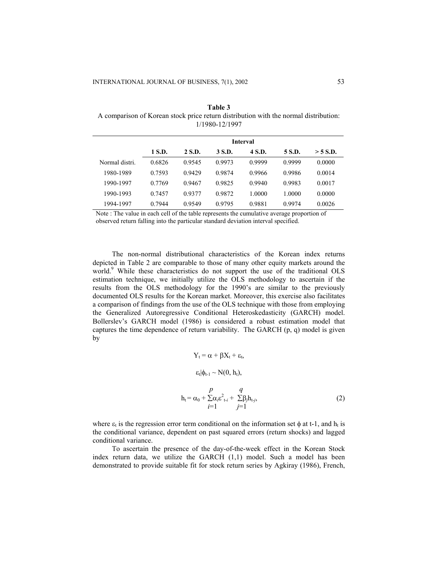| A comparison of Korean stock price return distribution with the normal distribution: |  |  |
|--------------------------------------------------------------------------------------|--|--|
| 1/1980-12/1997                                                                       |  |  |
|                                                                                      |  |  |
|                                                                                      |  |  |

**Table 3** 

|                |        |        |        | <b>Interval</b> |        |          |
|----------------|--------|--------|--------|-----------------|--------|----------|
|                | 1 S.D. | 2 S.D. | 3 S.D. | 4 S.D.          | 5 S.D. | > 5 S.D. |
| Normal distri. | 0.6826 | 0.9545 | 0.9973 | 0.9999          | 0.9999 | 0.0000   |
| 1980-1989      | 0.7593 | 0.9429 | 0.9874 | 0.9966          | 0.9986 | 0.0014   |
| 1990-1997      | 0.7769 | 0.9467 | 0.9825 | 0.9940          | 0.9983 | 0.0017   |
| 1990-1993      | 0.7457 | 0.9377 | 0.9872 | 1.0000          | 1.0000 | 0.0000   |
| 1994-1997      | 0.7944 | 0.9549 | 0.9795 | 0.9881          | 0.9974 | 0.0026   |
|                |        |        |        |                 |        |          |

Note : The value in each cell of the table represents the cumulative average proportion of observed return falling into the particular standard deviation interval specified.

 The non-normal distributional characteristics of the Korean index returns depicted in Table 2 are comparable to those of many other equity markets around the world.<sup>9</sup> While these characteristics do not support the use of the traditional OLS estimation technique, we initially utilize the OLS methodology to ascertain if the results from the OLS methodology for the 1990's are similar to the previously documented OLS results for the Korean market. Moreover, this exercise also facilitates a comparison of findings from the use of the OLS technique with those from employing the Generalized Autoregressive Conditional Heteroskedasticity (GARCH) model. Bollerslev's GARCH model (1986) is considered a robust estimation model that captures the time dependence of return variability. The GARCH  $(p, q)$  model is given by

$$
Y_{t} = \alpha + \beta X_{t} + \varepsilon_{t},
$$
  
\n
$$
\varepsilon_{t}|\phi_{t-1} \sim N(0, h_{t}),
$$
  
\n
$$
h_{t} = \alpha_{0} + \sum_{i=1}^{p} \alpha_{i} \varepsilon_{t-i}^{2} + \sum_{j=1}^{q} \beta_{j} h_{t-j},
$$
\n(2)

where  $\varepsilon_t$  is the regression error term conditional on the information set  $\phi$  at t-1, and  $h_t$  is the conditional variance, dependent on past squared errors (return shocks) and lagged conditional variance.

 To ascertain the presence of the day-of-the-week effect in the Korean Stock index return data, we utilize the GARCH (1,1) model. Such a model has been demonstrated to provide suitable fit for stock return series by Agkiray (1986), French,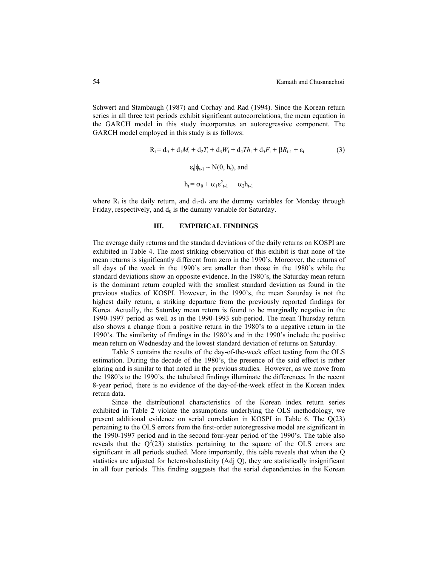Schwert and Stambaugh (1987) and Corhay and Rad (1994). Since the Korean return series in all three test periods exhibit significant autocorrelations, the mean equation in the GARCH model in this study incorporates an autoregressive component. The GARCH model employed in this study is as follows:

$$
R_{t} = d_{0} + d_{1}M_{t} + d_{2}T_{t} + d_{3}W_{t} + d_{4}Th_{t} + d_{5}F_{t} + \beta R_{t-1} + \varepsilon_{t}
$$
\n(3)  
\n
$$
\varepsilon_{t}|\phi_{t-1} \sim N(0, h_{t}), \text{ and}
$$
\n
$$
h_{t} = \alpha_{0} + \alpha_{1}\varepsilon_{t-1}^{2} + \alpha_{2}h_{t-1}
$$

where  $R_t$  is the daily return, and  $d_1-d_5$  are the dummy variables for Monday through Friday, respectively, and  $d_0$  is the dummy variable for Saturday.

## **III. EMPIRICAL FINDINGS**

The average daily returns and the standard deviations of the daily returns on KOSPI are exhibited in Table 4. The most striking observation of this exhibit is that none of the mean returns is significantly different from zero in the 1990's. Moreover, the returns of all days of the week in the 1990's are smaller than those in the 1980's while the standard deviations show an opposite evidence. In the 1980's, the Saturday mean return is the dominant return coupled with the smallest standard deviation as found in the previous studies of KOSPI. However, in the 1990's, the mean Saturday is not the highest daily return, a striking departure from the previously reported findings for Korea. Actually, the Saturday mean return is found to be marginally negative in the 1990-1997 period as well as in the 1990-1993 sub-period. The mean Thursday return also shows a change from a positive return in the 1980's to a negative return in the 1990's. The similarity of findings in the 1980's and in the 1990's include the positive mean return on Wednesday and the lowest standard deviation of returns on Saturday.

Table 5 contains the results of the day-of-the-week effect testing from the OLS estimation. During the decade of the 1980's, the presence of the said effect is rather glaring and is similar to that noted in the previous studies. However, as we move from the 1980's to the 1990's, the tabulated findings illuminate the differences. In the recent 8-year period, there is no evidence of the day-of-the-week effect in the Korean index return data.

Since the distributional characteristics of the Korean index return series exhibited in Table 2 violate the assumptions underlying the OLS methodology, we present additional evidence on serial correlation in KOSPI in Table 6. The Q(23) pertaining to the OLS errors from the first-order autoregressive model are significant in the 1990-1997 period and in the second four-year period of the 1990's. The table also reveals that the  $Q^2(23)$  statistics pertaining to the square of the OLS errors are significant in all periods studied. More importantly, this table reveals that when the Q statistics are adjusted for heteroskedasticity (Adj Q), they are statistically insignificant in all four periods. This finding suggests that the serial dependencies in the Korean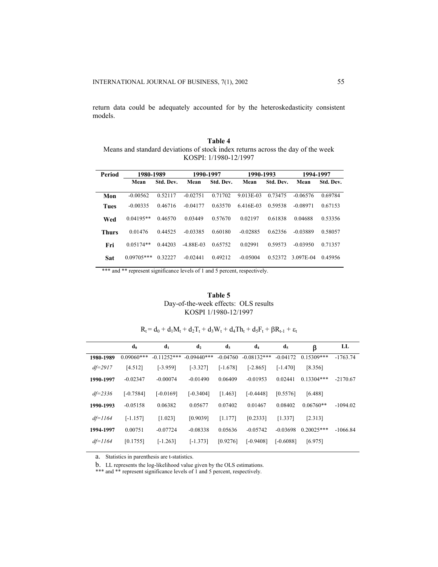return data could be adequately accounted for by the heteroskedasticity consistent models.

**Table 4**  Means and standard deviations of stock index returns across the day of the week KOSPI: 1/1980-12/1997

| Period       | 1980-1989    |           | 1990-1997   |           | 1990-1993  |           | 1994-1997  |           |
|--------------|--------------|-----------|-------------|-----------|------------|-----------|------------|-----------|
|              | Mean         | Std. Dev. | Mean        | Std. Dev. | Mean       | Std. Dev. | Mean       | Std. Dev. |
| Mon          | $-0.00562$   | 0.52117   | $-0.02751$  | 0.71702   | 9.013E-03  | 0.73475   | $-0.06576$ | 0.69784   |
| <b>Tues</b>  | $-0.00335$   | 0.46716   | $-0.04177$  | 0.63570   | 6.416E-03  | 0.59538   | $-0.08971$ | 0.67153   |
| Wed          | $0.04195**$  | 0.46570   | 0.03449     | 0.57670   | 0.02197    | 0.61838   | 0.04688    | 0.53356   |
| <b>Thurs</b> | 0.01476      | 0.44525   | $-0.03385$  | 0.60180   | $-0.02885$ | 0.62356   | $-0.03889$ | 0.58057   |
| Fri          | $0.05174**$  | 0.44203   | $-4.88E-03$ | 0.65752   | 0.02991    | 0.59573   | -0.03950   | 0.71357   |
| Sat          | $0.09705***$ | 0.32227   | $-0.02441$  | 0.49212   | $-0.05004$ | 0.52372   | 3.097E-04  | 0.45956   |

\*\*\* and \*\* represent significance levels of 1 and 5 percent, respectively.

| Table 5                              |
|--------------------------------------|
| Day-of-the-week effects: OLS results |
| KOSPI 1/1980-12/1997                 |

|  | $R_t = d_0 + d_1M_t + d_2T_t + d_3W_t + d_4Th_t + d_5F_t + \beta R_{t-1} + \varepsilon_t$ |  |  |  |  |  |  |
|--|-------------------------------------------------------------------------------------------|--|--|--|--|--|--|
|--|-------------------------------------------------------------------------------------------|--|--|--|--|--|--|

|             | $\mathbf{d}_0$ | d <sub>1</sub> | d <sub>2</sub> | $d_3$      | $d_4$         | $d_5$       | β            | LL         |
|-------------|----------------|----------------|----------------|------------|---------------|-------------|--------------|------------|
| 1980-1989   | $0.09060$ ***  | $-0.11252***$  | $-0.09440$ *** | $-0.04760$ | $-0.08132***$ | $-0.04172$  | $0.15309***$ | $-1763.74$ |
| $df = 2917$ | [4.512]        | $[-3.959]$     | $[-3.327]$     | $[-1.678]$ | $[-2.865]$    | $[-1.470]$  | [8.356]      |            |
| 1990-1997   | $-0.02347$     | $-0.00074$     | $-0.01490$     | 0.06409    | $-0.01953$    | 0.02441     | $0.13304***$ | $-2170.67$ |
| $df = 2336$ | $[-0.7584]$    | $[-0.0169]$    | $[-0.3404]$    | [1.463]    | $[-0.4448]$   | [0.5576]    | [6.488]      |            |
| 1990-1993   | $-0.05158$     | 0.06382        | 0.05677        | 0.07402    | 0.01467       | 0.08402     | $0.06760**$  | $-1094.02$ |
| $df=1164$   | $[-1.157]$     | [1.023]        | [0.9039]       | [1.177]    | [0.2333]      | [1.337]     | [2.313]      |            |
| 1994-1997   | 0.00751        | $-0.07724$     | $-0.08338$     | 0.05636    | $-0.05742$    | $-0.03698$  | $0.20025***$ | $-1066.84$ |
| $df=1164$   | [0.1755]       | $[-1.263]$     | $[-1.373]$     | [0.9276]   | $[-0.9408]$   | $[-0.6088]$ | [6.975]      |            |

a. Statistics in parenthesis are t-statistics.

b. LL represents the log-likelihood value given by the OLS estimations.

\*\*\* and \*\* represent significance levels of 1 and 5 percent, respectively.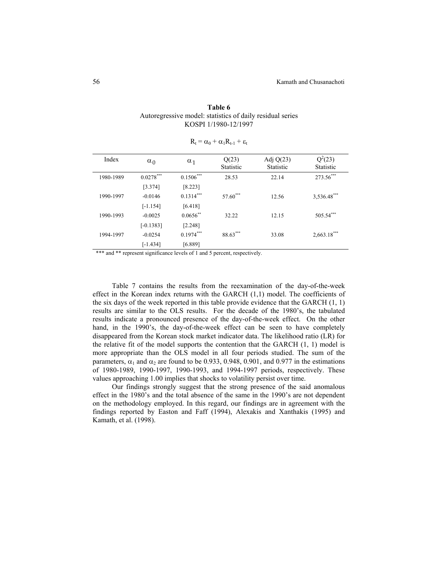|                                                           | Table 6              |  |  |
|-----------------------------------------------------------|----------------------|--|--|
| Autoregressive model: statistics of daily residual series |                      |  |  |
|                                                           | KOSPI 1/1980-12/1997 |  |  |

| Index     | $\alpha_0$  | $\alpha_1$  | Q(23)<br>Statistic | Adj $Q(23)$<br><b>Statistic</b> | $Q^2(23)$<br><b>Statistic</b> |
|-----------|-------------|-------------|--------------------|---------------------------------|-------------------------------|
| 1980-1989 | $0.0278***$ | $0.1506***$ | 28.53              | 22.14                           | 273.56***                     |
|           | [3.374]     | [8.223]     |                    |                                 |                               |
| 1990-1997 | $-0.0146$   | $0.1314***$ | 57.60***           | 12.56                           | 3,536.48***                   |
|           | $[-1.154]$  | [6.418]     |                    |                                 |                               |
| 1990-1993 | $-0.0025$   | $0.0656$ ** | 32.22              | 12.15                           | 505.54***                     |
|           | $[-0.1383]$ | [2.248]     |                    |                                 |                               |
| 1994-1997 | $-0.0254$   | $0.1974***$ | 88.63***           | 33.08                           | $2,663.18***$                 |
|           | $[-1.434]$  | [6.889]     |                    |                                 |                               |

|  |  | $R_t = \alpha_0 + \alpha_1 R_{t-1} + \varepsilon_t$ |  |  |
|--|--|-----------------------------------------------------|--|--|
|--|--|-----------------------------------------------------|--|--|

\*\*\* and \*\* represent significance levels of 1 and 5 percent, respectively.

Table 7 contains the results from the reexamination of the day-of-the-week effect in the Korean index returns with the GARCH (1,1) model. The coefficients of the six days of the week reported in this table provide evidence that the GARCH (1, 1) results are similar to the OLS results. For the decade of the 1980's, the tabulated results indicate a pronounced presence of the day-of-the-week effect. On the other hand, in the 1990's, the day-of-the-week effect can be seen to have completely disappeared from the Korean stock market indicator data. The likelihood ratio (LR) for the relative fit of the model supports the contention that the GARCH (1, 1) model is more appropriate than the OLS model in all four periods studied. The sum of the parameters,  $\alpha_1$  and  $\alpha_2$  are found to be 0.933, 0.948, 0.901, and 0.977 in the estimations of 1980-1989, 1990-1997, 1990-1993, and 1994-1997 periods, respectively. These values approaching 1.00 implies that shocks to volatility persist over time.

Our findings strongly suggest that the strong presence of the said anomalous effect in the 1980's and the total absence of the same in the 1990's are not dependent on the methodology employed. In this regard, our findings are in agreement with the findings reported by Easton and Faff (1994), Alexakis and Xanthakis (1995) and Kamath, et al. (1998).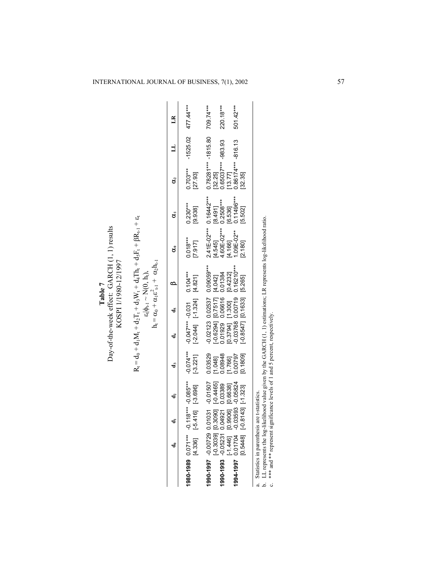| ω<br>+<br>$ \beta R_{t}$                 |                                       |
|------------------------------------------|---------------------------------------|
| $A_t + d_s F_t$                          |                                       |
|                                          | $\hat{A}$                             |
|                                          |                                       |
| $1 + d_1M_t + d_2T_t + d_3W_t + d_4Th_t$ | $\epsilon$ - $\Phi$ - $\sim$ $N(0,1)$ |
|                                          |                                       |
|                                          |                                       |
| $\mathbf{d}_0$<br>Ò                      |                                       |

|                                                                                                        | å                                           |                                   | å | d <sub>3</sub>                                                                | ਰ<br>ਹ                                                                      |                                                                                                                                    |                                                                                | ర                                                                                                                    | Š                                  | å                                                            | $\exists$  | $_{LR}$   |
|--------------------------------------------------------------------------------------------------------|---------------------------------------------|-----------------------------------|---|-------------------------------------------------------------------------------|-----------------------------------------------------------------------------|------------------------------------------------------------------------------------------------------------------------------------|--------------------------------------------------------------------------------|----------------------------------------------------------------------------------------------------------------------|------------------------------------|--------------------------------------------------------------|------------|-----------|
| 1980-1989 0.071*** -0.118*** -0.085***                                                                 |                                             | $[4.336]$ $[-5.416]$ $[-3.696]$   |   | $[-3.221]$<br>$-0.074***$                                                     | $+80.010$ 0.000 $+$ *** $7000$ 0.000 $-$<br>$[-2.044]$ $[-1.324]$ $[4.821]$ |                                                                                                                                    |                                                                                | $0.018***$<br>[7.917]                                                                                                | $0.230***$<br>[9.938]              | $0.703***$<br>[27.93]                                        | $-1525.02$ | 477.44*** |
|                                                                                                        |                                             |                                   |   | 0.03529                                                                       |                                                                             |                                                                                                                                    | $-0.02123$ 0.02537 0.09059***                                                  | $2.41E-02***$ 0.16442***                                                                                             |                                    | $0.78281*** - 1815.80$ 709.74***                             |            |           |
| 1990-1997 - 0.0729 0.01031 - 0.11507<br>[-1605] - 1990-19 [-19806.0]<br>1994-0-1   1990-1998 1990-1990 |                                             |                                   |   | $\begin{bmatrix} 1.048 \\ 0.08948 \end{bmatrix}$                              |                                                                             | $\begin{bmatrix} -0.6294 \\ 0.01929 \\ 0.06616 \\ 0.01384 \end{bmatrix} \begin{bmatrix} 0.7517 \\ 0.0616 \\ 0.01384 \end{bmatrix}$ |                                                                                | $[4.545] \qquad \qquad [$ 4.60E-02***<br>4.166] [4.166] [                                                            | $[8.491]$<br>0.2508***             | $\begin{bmatrix} 32.25 \\ 0.65037***& -983.93 \end{bmatrix}$ |            | 220.18*** |
| 498900-6692000-6017000 <b>1666-6661</b><br>[1999] [19966] [1994.1-1]                                   |                                             | $[0.5448]$ $[-0.8143]$ $[-1.323]$ |   | [0.1809]<br>1.766]<br>0.00797                                                 |                                                                             | $[-0.8547]$ $[0.1633]$ $[5.265]$                                                                                                   | $\begin{bmatrix} 0.3794 \\ -0.03768 \\ 0.00719 \\ 0.16210^{***} \end{bmatrix}$ | [2.180]                                                                                                              | $[6.536]$<br>0.11496***<br>[5.502] | [13.77]<br>0.86174*** -816.13<br>[32.35]                     |            | 501.42*** |
|                                                                                                        | Statistics in parenthesis are t-statistics. |                                   |   | c. *** and ** represent significance levels of 1 and 5 percent, respectively. |                                                                             |                                                                                                                                    |                                                                                | b. LL represents the log-likelihood value given by the GARCH (1, 1) estimations; LR represents log-likelihood ratio. |                                    |                                                              |            |           |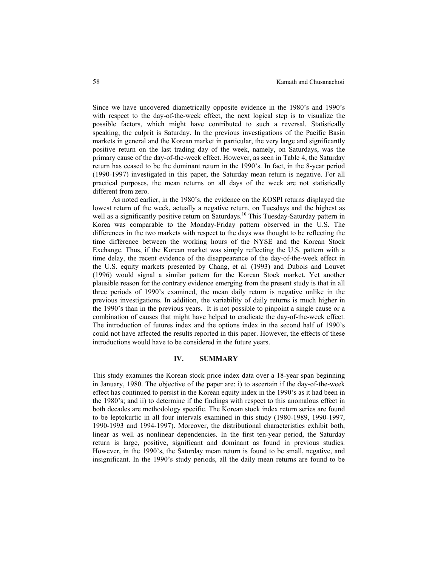Since we have uncovered diametrically opposite evidence in the 1980's and 1990's with respect to the day-of-the-week effect, the next logical step is to visualize the possible factors, which might have contributed to such a reversal. Statistically speaking, the culprit is Saturday. In the previous investigations of the Pacific Basin markets in general and the Korean market in particular, the very large and significantly positive return on the last trading day of the week, namely, on Saturdays, was the primary cause of the day-of-the-week effect. However, as seen in Table 4, the Saturday return has ceased to be the dominant return in the 1990's. In fact, in the 8-year period (1990-1997) investigated in this paper, the Saturday mean return is negative. For all practical purposes, the mean returns on all days of the week are not statistically different from zero.

As noted earlier, in the 1980's, the evidence on the KOSPI returns displayed the lowest return of the week, actually a negative return, on Tuesdays and the highest as well as a significantly positive return on Saturdays.<sup>10</sup> This Tuesday-Saturday pattern in Korea was comparable to the Monday-Friday pattern observed in the U.S. The differences in the two markets with respect to the days was thought to be reflecting the time difference between the working hours of the NYSE and the Korean Stock Exchange. Thus, if the Korean market was simply reflecting the U.S. pattern with a time delay, the recent evidence of the disappearance of the day-of-the-week effect in the U.S. equity markets presented by Chang, et al. (1993) and Dubois and Louvet (1996) would signal a similar pattern for the Korean Stock market. Yet another plausible reason for the contrary evidence emerging from the present study is that in all three periods of 1990's examined, the mean daily return is negative unlike in the previous investigations. In addition, the variability of daily returns is much higher in the 1990's than in the previous years. It is not possible to pinpoint a single cause or a combination of causes that might have helped to eradicate the day-of-the-week effect. The introduction of futures index and the options index in the second half of 1990's could not have affected the results reported in this paper. However, the effects of these introductions would have to be considered in the future years.

#### **IV. SUMMARY**

This study examines the Korean stock price index data over a 18-year span beginning in January, 1980. The objective of the paper are: i) to ascertain if the day-of-the-week effect has continued to persist in the Korean equity index in the 1990's as it had been in the 1980's; and ii) to determine if the findings with respect to this anomalous effect in both decades are methodology specific. The Korean stock index return series are found to be leptokurtic in all four intervals examined in this study (1980-1989, 1990-1997, 1990-1993 and 1994-1997). Moreover, the distributional characteristics exhibit both, linear as well as nonlinear dependencies. In the first ten-year period, the Saturday return is large, positive, significant and dominant as found in previous studies. However, in the 1990's, the Saturday mean return is found to be small, negative, and insignificant. In the 1990's study periods, all the daily mean returns are found to be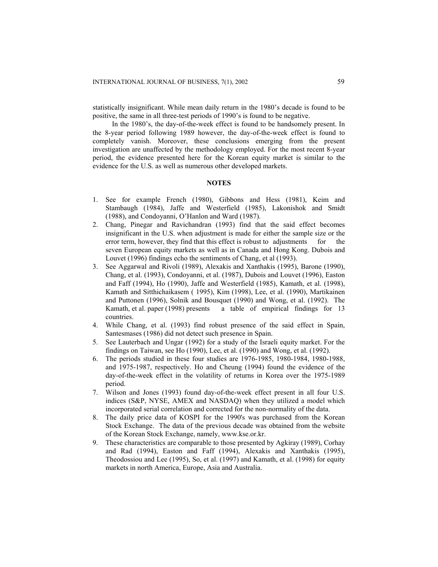statistically insignificant. While mean daily return in the 1980's decade is found to be positive, the same in all three-test periods of 1990's is found to be negative.

In the 1980's, the day-of-the-week effect is found to be handsomely present. In the 8-year period following 1989 however, the day-of-the-week effect is found to completely vanish. Moreover, these conclusions emerging from the present investigation are unaffected by the methodology employed. For the most recent 8-year period, the evidence presented here for the Korean equity market is similar to the evidence for the U.S. as well as numerous other developed markets.

### **NOTES**

- 1. See for example French (1980), Gibbons and Hess (1981), Keim and Stambaugh (1984), Jaffe and Westerfield (1985), Lakonishok and Smidt (1988), and Condoyanni, O'Hanlon and Ward (1987).
- 2. Chang, Pinegar and Ravichandran (1993) find that the said effect becomes insignificant in the U.S. when adjustment is made for either the sample size or the error term, however, they find that this effect is robust to adjustments for the seven European equity markets as well as in Canada and Hong Kong. Dubois and Louvet (1996) findings echo the sentiments of Chang, et al (1993).
- 3. See Aggarwal and Rivoli (1989), Alexakis and Xanthakis (1995), Barone (1990), Chang, et al. (1993), Condoyanni, et al. (1987), Dubois and Louvet (1996), Easton and Faff (1994), Ho (1990), Jaffe and Westerfield (1985), Kamath, et al. (1998), Kamath and Sitthichaikasem ( 1995), Kim (1998), Lee, et al. (1990), Martikainen and Puttonen (1996), Solnik and Bousquet (1990) and Wong, et al. (1992). The Kamath, et al. paper (1998) presents a table of empirical findings for 13 countries.
- 4. While Chang, et al. (1993) find robust presence of the said effect in Spain, Santesmases (1986) did not detect such presence in Spain.
- 5. See Lauterbach and Ungar (1992) for a study of the Israeli equity market. For the findings on Taiwan, see Ho (1990), Lee, et al. (1990) and Wong, et al. (1992).
- 6. The periods studied in these four studies are 1976-1985, 1980-1984, 1980-1988, and 1975-1987, respectively. Ho and Cheung (1994) found the evidence of the day-of-the-week effect in the volatility of returns in Korea over the 1975-1989 period.
- 7. Wilson and Jones (1993) found day-of-the-week effect present in all four U.S. indices (S&P, NYSE, AMEX and NASDAQ) when they utilized a model which incorporated serial correlation and corrected for the non-normality of the data.
- 8. The daily price data of KOSPI for the 1990's was purchased from the Korean Stock Exchange. The data of the previous decade was obtained from the website of the Korean Stock Exchange, namely, www.kse.or.kr.
- 9. These characteristics are comparable to those presented by Agkiray (1989), Corhay and Rad (1994), Easton and Faff (1994), Alexakis and Xanthakis (1995), Theodossiou and Lee (1995), So, et al. (1997) and Kamath, et al. (1998) for equity markets in north America, Europe, Asia and Australia.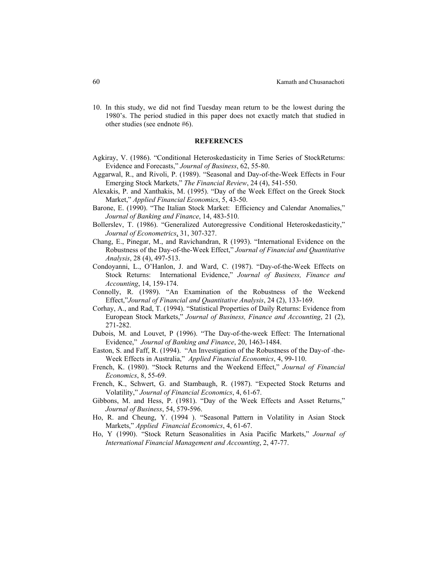10. In this study, we did not find Tuesday mean return to be the lowest during the 1980's. The period studied in this paper does not exactly match that studied in other studies (see endnote #6).

### **REFERENCES**

- Agkiray, V. (1986). "Conditional Heteroskedasticity in Time Series of StockReturns: Evidence and Forecasts," *Journal of Business*, 62, 55-80.
- Aggarwal, R., and Rivoli, P. (1989). "Seasonal and Day-of-the-Week Effects in Four Emerging Stock Markets," *The Financial Review*, 24 (4), 541-550.
- Alexakis, P. and Xanthakis, M. (1995). "Day of the Week Effect on the Greek Stock Market," *Applied Financial Economics*, 5, 43-50.
- Barone, E. (1990). "The Italian Stock Market: Efficiency and Calendar Anomalies," *Journal of Banking and Finance*, 14, 483-510.
- Bollerslev, T. (1986). "Generalized Autoregressive Conditional Heteroskedasticity," *Journal of Econometrics*, 31, 307-327.
- Chang, E., Pinegar, M., and Ravichandran, R (1993). "International Evidence on the Robustness of the Day-of-the-Week Effect," *Journal of Financial and Quantitative Analysis*, 28 (4), 497-513.
- Condoyanni, L., O'Hanlon, J. and Ward, C. (1987). "Day-of-the-Week Effects on Stock Returns: International Evidence," *Journal of Business, Finance and Accounting*, 14, 159-174.
- Connolly, R. (1989). "An Examination of the Robustness of the Weekend Effect,"*Journal of Financial and Quantitative Analysis*, 24 (2), 133-169.
- Corhay, A., and Rad, T. (1994). "Statistical Properties of Daily Returns: Evidence from European Stock Markets," *Journal of Business, Finance and Accounting*, 21 (2), 271-282.
- Dubois, M. and Louvet, P (1996). "The Day-of-the-week Effect: The International Evidence," *Journal of Banking and Finance*, 20, 1463-1484.
- Easton, S. and Faff, R. (1994). "An Investigation of the Robustness of the Day-of -the-Week Effects in Australia," *Applied Financial Economics*, 4, 99-110.
- French, K. (1980). "Stock Returns and the Weekend Effect," *Journal of Financial Economics*, 8, 55-69.
- French, K., Schwert, G. and Stambaugh, R. (1987). "Expected Stock Returns and Volatility," *Journal of Financial Economics*, 4, 61-67.
- Gibbons, M. and Hess, P. (1981). "Day of the Week Effects and Asset Returns," *Journal of Business*, 54, 579-596.
- Ho, R. and Cheung, Y. (1994 ). "Seasonal Pattern in Volatility in Asian Stock Markets," *Applied Financial Economics*, 4, 61-67.
- Ho, Y (1990). "Stock Return Seasonalities in Asia Pacific Markets," *Journal of International Financial Management and Accounting*, 2, 47-77.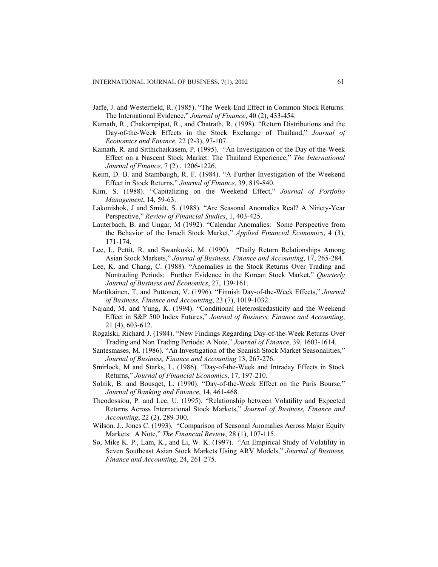- Jaffe, J. and Westerfield, R. (1985). "The Week-End Effect in Common Stock Returns: The International Evidence," *Journal of Finance*, 40 (2), 433-454.
- Kamath, R., Chakornpipat, R., and Chatrath, R. (1998). "Return Distributions and the Day-of-the-Week Effects in the Stock Exchange of Thailand," *Journal of Economics and Finance*, 22 (2-3), 97-107.
- Kamath, R. and Sitthichaikasem, P. (1995). "An Investigation of the Day of the-Week Effect on a Nascent Stock Market: The Thailand Experience," *The International Journal of Finance*, 7 (2) , 1206-1226.
- Keim, D. B. and Stambaugh, R. F. (1984). "A Further Investigation of the Weekend Effect in Stock Returns," *Journal of Finance*, 39, 819-840.
- Kim, S. (1988). "Capitalizing on the Weekend Effect," *Journal of Portfolio Management*, 14, 59-63.
- Lakonishok, J and Smidt, S. (1988). "Are Seasonal Anomalies Real? A Ninety-Year Perspective," *Review of Financial Studies*, 1, 403-425.
- Lauterbach, B. and Ungar, M (1992). "Calendar Anomalies: Some Perspective from the Behavior of the Israeli Stock Market," *Applied Financial Economics*, 4 (3), 171-174.
- Lee, I., Pettit, R. and Swankoski, M. (1990). "Daily Return Relationships Among Asian Stock Markets," *Journal of Business, Finance and Accounting*, 17, 265-284.
- Lee, K. and Chang, C. (1988). "Anomalies in the Stock Returns Over Trading and Nontrading Periods: Further Evidence in the Korean Stock Market," *Quarterly Journal of Business and Economics*, 27, 139-161.
- Martikainen, T, and Puttonen, V. (1996). "Finnish Day-of-the-Week Effects," *Journal of Business, Finance and Accounting*, 23 (7), 1019-1032.
- Najand, M. and Yung, K. (1994). "Conditional Heteroskedasticity and the Weekend Effect in S&P 500 Index Futures," *Journal of Business, Finance and Accounting*, 21 (4), 603-612.
- Rogalski, Richard J. (1984). "New Findings Regarding Day-of-the-Week Returns Over Trading and Non Trading Periods: A Note," *Journal of Finance*, 39, 1603-1614.
- Santesmases, M. (1986). "An Investigation of the Spanish Stock Market Seasonalities," *Journal of Business, Finance and Accounting* 13, 267-276.
- Smirlock, M and Starks, L. (1986). "Day-of-the-Week and Intraday Effects in Stock Returns," *Journal of Financial Economics*, 17, 197-210.
- Solnik, B. and Bousqet, L. (1990). "Day-of-the-Week Effect on the Paris Bourse," *Journal of Banking and Finance*, 14, 461-468.
- Theodossiou, P. and Lee, U. (1995). "Relationship between Volatility and Expected Returns Across International Stock Markets," *Journal of Business, Finance and Accounting*, 22 (2), 289-300.
- Wilson. J., Jones C. (1993). "Comparison of Seasonal Anomalies Across Major Equity Markets: A Note," *The Financial Review*, 28 (1), 107-115.
- So, Mike K. P., Lam, K., and Li, W. K. (1997). "An Empirical Study of Volatility in Seven Southeast Asian Stock Markets Using ARV Models," *Journal of Business, Finance and Accounting*, 24, 261-275.